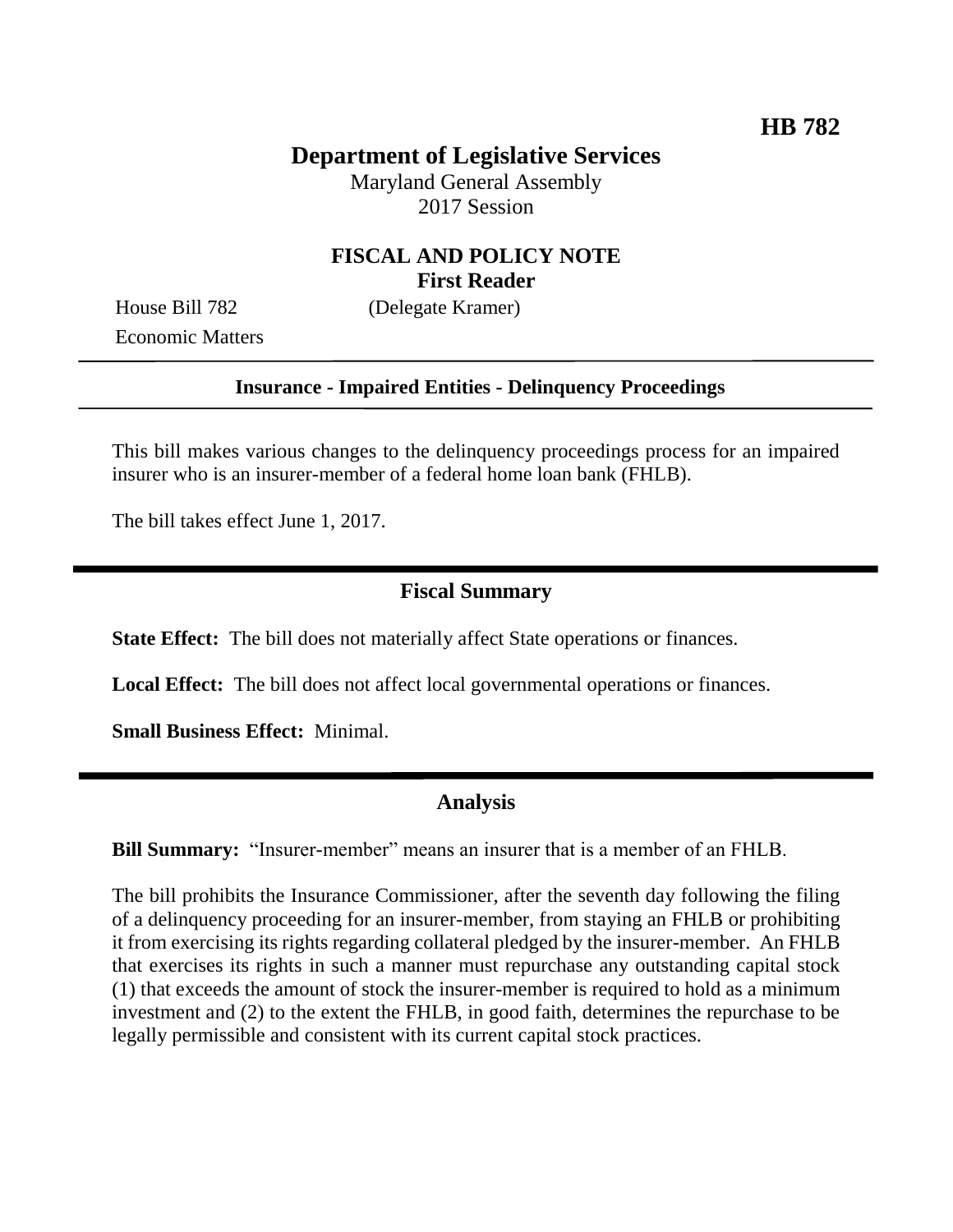# **Department of Legislative Services**

Maryland General Assembly 2017 Session

## **FISCAL AND POLICY NOTE First Reader**

Economic Matters

House Bill 782 (Delegate Kramer)

#### **Insurance - Impaired Entities - Delinquency Proceedings**

This bill makes various changes to the delinquency proceedings process for an impaired insurer who is an insurer-member of a federal home loan bank (FHLB).

The bill takes effect June 1, 2017.

#### **Fiscal Summary**

**State Effect:** The bill does not materially affect State operations or finances.

**Local Effect:** The bill does not affect local governmental operations or finances.

**Small Business Effect:** Minimal.

#### **Analysis**

**Bill Summary:** "Insurer-member" means an insurer that is a member of an FHLB.

The bill prohibits the Insurance Commissioner, after the seventh day following the filing of a delinquency proceeding for an insurer-member, from staying an FHLB or prohibiting it from exercising its rights regarding collateral pledged by the insurer-member. An FHLB that exercises its rights in such a manner must repurchase any outstanding capital stock (1) that exceeds the amount of stock the insurer-member is required to hold as a minimum investment and (2) to the extent the FHLB, in good faith, determines the repurchase to be legally permissible and consistent with its current capital stock practices.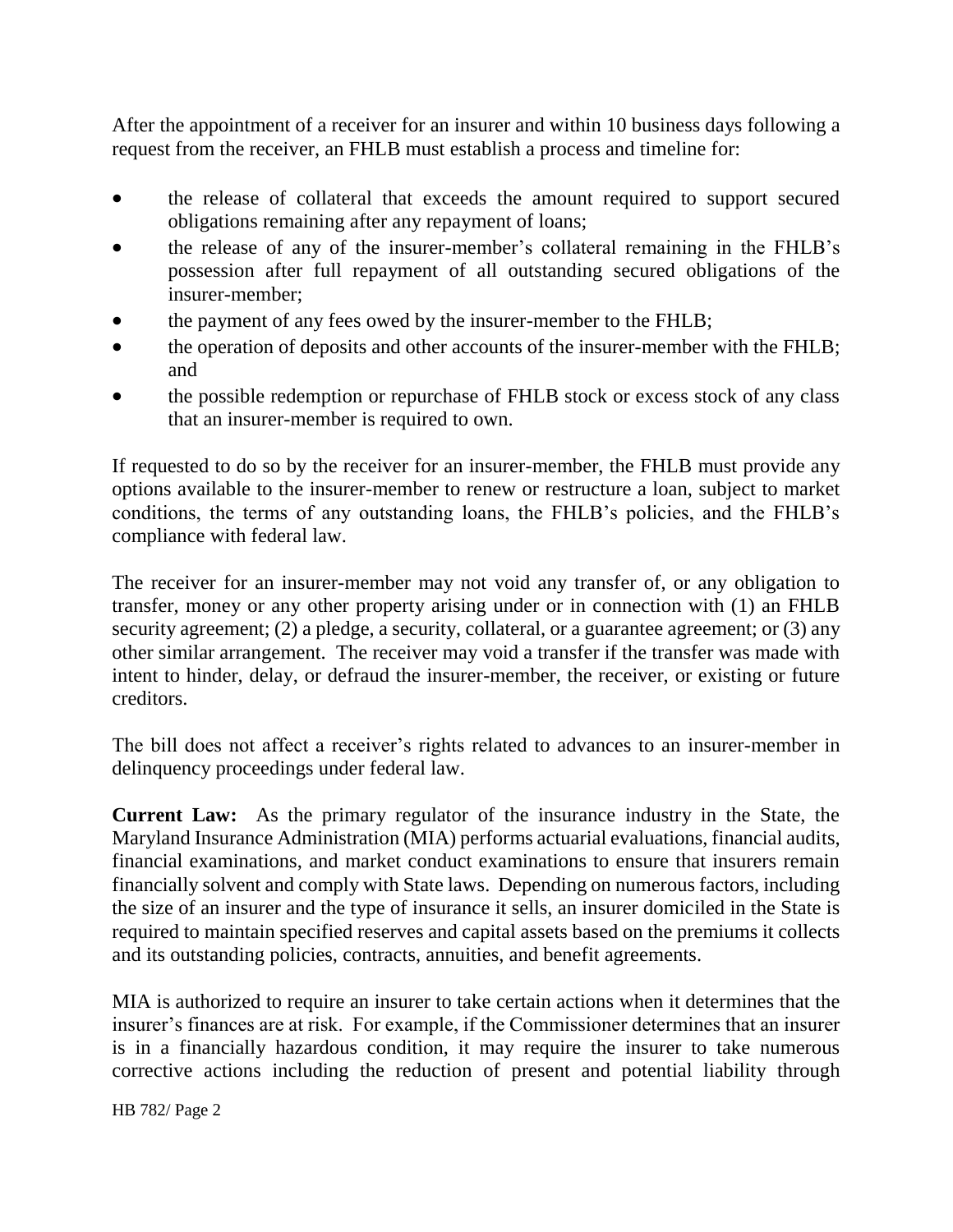After the appointment of a receiver for an insurer and within 10 business days following a request from the receiver, an FHLB must establish a process and timeline for:

- the release of collateral that exceeds the amount required to support secured obligations remaining after any repayment of loans;
- the release of any of the insurer-member's collateral remaining in the FHLB's possession after full repayment of all outstanding secured obligations of the insurer-member;
- the payment of any fees owed by the insurer-member to the FHLB;
- the operation of deposits and other accounts of the insurer-member with the FHLB; and
- the possible redemption or repurchase of FHLB stock or excess stock of any class that an insurer-member is required to own.

If requested to do so by the receiver for an insurer-member, the FHLB must provide any options available to the insurer-member to renew or restructure a loan, subject to market conditions, the terms of any outstanding loans, the FHLB's policies, and the FHLB's compliance with federal law.

The receiver for an insurer-member may not void any transfer of, or any obligation to transfer, money or any other property arising under or in connection with (1) an FHLB security agreement; (2) a pledge, a security, collateral, or a guarantee agreement; or (3) any other similar arrangement. The receiver may void a transfer if the transfer was made with intent to hinder, delay, or defraud the insurer-member, the receiver, or existing or future creditors.

The bill does not affect a receiver's rights related to advances to an insurer-member in delinquency proceedings under federal law.

**Current Law:** As the primary regulator of the insurance industry in the State, the Maryland Insurance Administration (MIA) performs actuarial evaluations, financial audits, financial examinations, and market conduct examinations to ensure that insurers remain financially solvent and comply with State laws. Depending on numerous factors, including the size of an insurer and the type of insurance it sells, an insurer domiciled in the State is required to maintain specified reserves and capital assets based on the premiums it collects and its outstanding policies, contracts, annuities, and benefit agreements.

MIA is authorized to require an insurer to take certain actions when it determines that the insurer's finances are at risk. For example, if the Commissioner determines that an insurer is in a financially hazardous condition, it may require the insurer to take numerous corrective actions including the reduction of present and potential liability through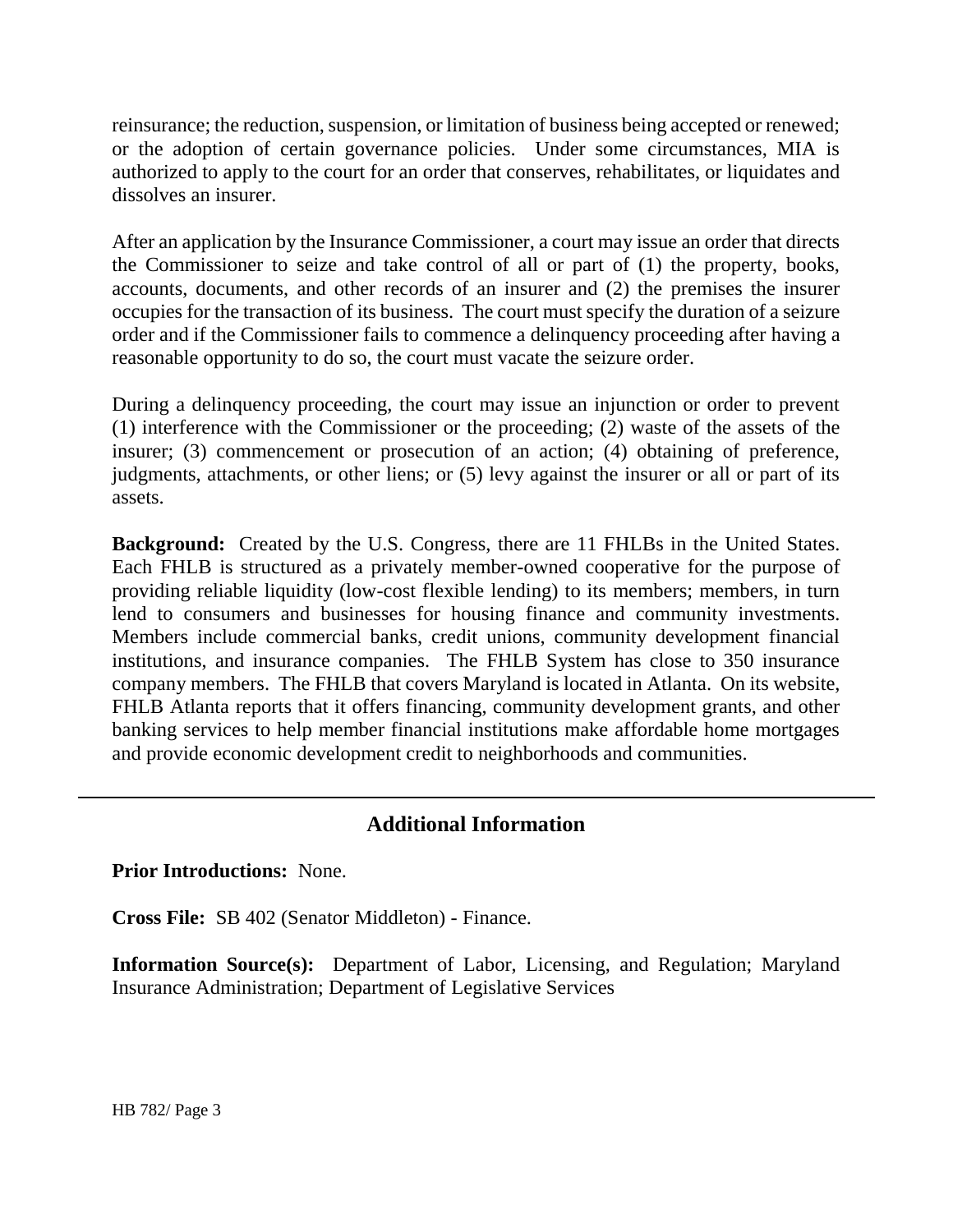reinsurance; the reduction, suspension, or limitation of business being accepted or renewed; or the adoption of certain governance policies. Under some circumstances, MIA is authorized to apply to the court for an order that conserves, rehabilitates, or liquidates and dissolves an insurer.

After an application by the Insurance Commissioner, a court may issue an order that directs the Commissioner to seize and take control of all or part of (1) the property, books, accounts, documents, and other records of an insurer and (2) the premises the insurer occupies for the transaction of its business. The court must specify the duration of a seizure order and if the Commissioner fails to commence a delinquency proceeding after having a reasonable opportunity to do so, the court must vacate the seizure order.

During a delinquency proceeding, the court may issue an injunction or order to prevent (1) interference with the Commissioner or the proceeding; (2) waste of the assets of the insurer; (3) commencement or prosecution of an action; (4) obtaining of preference, judgments, attachments, or other liens; or (5) levy against the insurer or all or part of its assets.

**Background:** Created by the U.S. Congress, there are 11 FHLBs in the United States. Each FHLB is structured as a privately member-owned cooperative for the purpose of providing reliable liquidity (low-cost flexible lending) to its members; members, in turn lend to consumers and businesses for housing finance and community investments. Members include commercial banks, credit unions, community development financial institutions, and insurance companies. The FHLB System has close to 350 insurance company members. The FHLB that covers Maryland is located in Atlanta. On its website, FHLB Atlanta reports that it offers financing, community development grants, and other banking services to help member financial institutions make affordable home mortgages and provide economic development credit to neighborhoods and communities.

## **Additional Information**

## **Prior Introductions:** None.

**Cross File:** SB 402 (Senator Middleton) - Finance.

**Information Source(s):** Department of Labor, Licensing, and Regulation; Maryland Insurance Administration; Department of Legislative Services